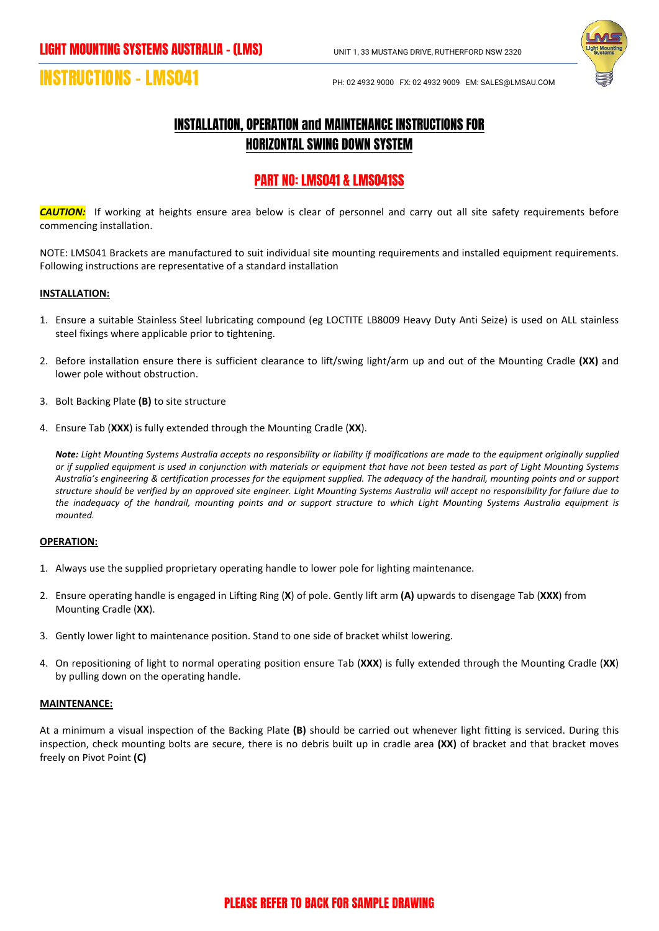

# **INSTRUCTIONS – LMS041** PH: 02 4932 9000 FX: 02 4932 9009 EM: SALES@LMSAU.COM

## INSTALLATION, OPERATION and MAINTENANCE INSTRUCTIONS FOR HORIZONTAL SWING DOWN SYSTEM

### PART NO: LMS041 & LMS041SS

*CAUTION:*If working at heights ensure area below is clear of personnel and carry out all site safety requirements before commencing installation.

NOTE: LMS041 Brackets are manufactured to suit individual site mounting requirements and installed equipment requirements. Following instructions are representative of a standard installation

#### **INSTALLATION:**

- 1. Ensure a suitable Stainless Steel lubricating compound (eg LOCTITE LB8009 Heavy Duty Anti Seize) is used on ALL stainless steel fixings where applicable prior to tightening.
- 2. Before installation ensure there is sufficient clearance to lift/swing light/arm up and out of the Mounting Cradle **(XX)** and lower pole without obstruction.
- 3. Bolt Backing Plate **(B)** to site structure
- 4. Ensure Tab (**XXX**) is fully extended through the Mounting Cradle (**XX**).

*Note: Light Mounting Systems Australia accepts no responsibility or liability if modifications are made to the equipment originally supplied or if supplied equipment is used in conjunction with materials or equipment that have not been tested as part of Light Mounting Systems Australia's engineering & certification processes for the equipment supplied. The adequacy of the handrail, mounting points and or support structure should be verified by an approved site engineer. Light Mounting Systems Australia will accept no responsibility for failure due to the inadequacy of the handrail, mounting points and or support structure to which Light Mounting Systems Australia equipment is mounted.*

#### **OPERATION:**

- 1. Always use the supplied proprietary operating handle to lower pole for lighting maintenance.
- 2. Ensure operating handle is engaged in Lifting Ring (**X**) of pole. Gently lift arm **(A)** upwards to disengage Tab (**XXX**) from Mounting Cradle (**XX**).
- 3. Gently lower light to maintenance position. Stand to one side of bracket whilst lowering.
- 4. On repositioning of light to normal operating position ensure Tab (**XXX**) is fully extended through the Mounting Cradle (**XX**) by pulling down on the operating handle.

#### **MAINTENANCE:**

At a minimum a visual inspection of the Backing Plate **(B)** should be carried out whenever light fitting is serviced. During this inspection, check mounting bolts are secure, there is no debris built up in cradle area **(XX)** of bracket and that bracket moves freely on Pivot Point **(C)**